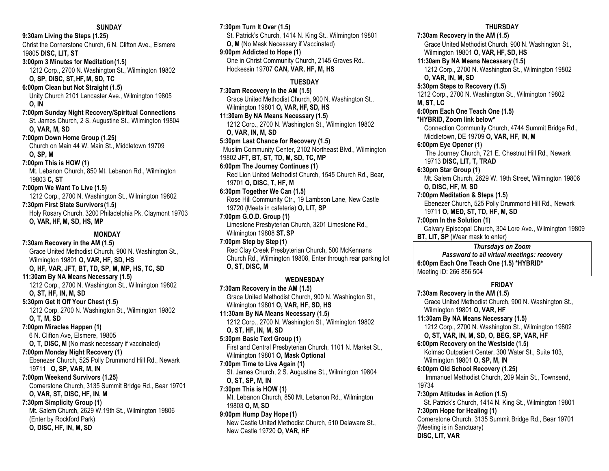**9:30am Living the Steps (1.25)** Christ the Cornerstone Church, 6 N. Clifton Ave., Elsmere 19805 **DISC, LIT, ST 3:00pm 3 Minutes for Meditation(1.5)**

1212 Corp., 2700 N. Washington St., Wilmington 19802 **O, SP, DISC, ST, HF, M, SD, TC 6:00pm Clean but Not Straight (1.5)**

Unity Church 2101 Lancaster Ave., Wilmington 19805 **O, IN**

**7:00pm Sunday Night Recovery/Spiritual Connections** St. James Church, 2 S. Augustine St., Wilmington 19804 **O, VAR, M, SD**

**7:00pm Down Home Group (1.25)** Church on Main 44 W. Main St., Middletown 19709 **O, SP, M**

**7:00pm This is HOW (1)** Mt. Lebanon Church, 850 Mt. Lebanon Rd., Wilmington 19803 **C, ST**

**7:00pm We Want To Live (1.5)** 1212 Corp., 2700 N. Washington St., Wilmington 19802 **7:30pm First State Survivors(1.5)** Holy Rosary Church, 3200 Philadelphia Pk, Claymont 19703 **O, VAR, HF, M, SD, HS, MP**

**MONDAY 7:30am Recovery in the AM (1.5)** Grace United Methodist Church, 900 N. Washington St., Wilmington 19801 **O, VAR, HF, SD, HS O, HF, VAR, JFT, BT, TD, SP, M, MP, HS, TC, SD 11:30am By NA Means Necessary (1.5)** 1212 Corp., 2700 N. Washington St., Wilmington 19802 **O, ST, HF, IN, M, SD 5:30pm Get It Off Your Chest (1.5)** 1212 Corp, 2700 N. Washington St., Wilmington 19802 **O, T, M, SD 7:00pm Miracles Happen (1)**

6 N. Clifton Ave, Elsmere, 19805 **O, T, DISC, M** (No mask necessary if vaccinated) **7:00pm Monday Night Recovery (1)** Ebenezer Church, 525 Polly Drummond Hill Rd., Newark 19711 **O, SP, VAR, M, IN**

**7:00pm Weekend Survivors (1.25)** Cornerstone Church, 3135 Summit Bridge Rd., Bear 19701 **O, VAR, ST, DISC, HF, IN, M**

**7:30pm Simplicity Group (1)** Mt. Salem Church, 2629 W.19th St., Wilmington 19806 (Enter by Rockford Park) **O, DISC, HF, IN, M, SD**

**7:30pm Turn It Over (1.5)** St. Patrick's Church, 1414 N. King St., Wilmington 19801 **O, M** (No Mask Necessary if Vaccinated) **9:00pm Addicted to Hope (1)** One in Christ Community Church, 2145 Graves Rd., Hockessin 19707 **CAN, VAR, HF, M, HS**

# **TUESDAY**

**7:30am Recovery in the AM (1.5)** Grace United Methodist Church, 900 N. Washington St., Wilmington 19801 **O, VAR, HF, SD, HS 11:30am By NA Means Necessary (1.5)** 1212 Corp., 2700 N. Washington St., Wilmington 19802 **O, VAR, IN, M, SD 5:30pm Last Chance for Recovery (1.5)** Muslim Community Center, 2102 Northeast Blvd., Wilmington 19802 **JFT, BT, ST, TD, M, SD, TC, MP 6:00pm The Journey Continues (1)** Red Lion United Methodist Church, 1545 Church Rd., Bear, 19701 **O, DISC, T, HF, M 6:30pm Together We Can (1.5)**

Rose Hill Community Ctr., 19 Lambson Lane, New Castle 19720 (Meets in cafeteria) **O, LIT, SP**

**7:00pm G.O.D. Group (1)** Limestone Presbyterian Church, 3201 Limestone Rd., Wilmington 19808 **ST, SP**

**7:00pm Step by Step (1)** Red Clay Creek Presbyterian Church, 500 McKennans Church Rd., Wilmington 19808, Enter through rear parking lot **O, ST, DISC, M**

# **WEDNESDAY**

**7:30am Recovery in the AM (1.5)** Grace United Methodist Church, 900 N. Washington St., Wilmington 19801 **O, VAR, HF, SD, HS 11:30am By NA Means Necessary (1.5)** 1212 Corp., 2700 N. Washington St., Wilmington 19802 **O, ST, HF, IN, M, SD 5:30pm Basic Text Group (1)** First and Central Presbyterian Church, 1101 N. Market St., Wilmington 19801 **O, Mask Optional 7:00pm Time to Live Again (1)** St. James Church, 2 S. Augustine St., Wilmington 19804 **O, ST, SP, M, IN 7:30pm This is HOW (1)** Mt. Lebanon Church, 850 Mt. Lebanon Rd., Wilmington 19803 **O, M, SD 9:00pm Hump Day Hope (1)**

New Castle United Methodist Church, 510 Delaware St., New Castle 19720 **O, VAR, HF**

### **THURSDAY**

**7:30am Recovery in the AM (1.5)** Grace United Methodist Church, 900 N. Washington St., Wilmington 19801 **O, VAR, HF, SD, HS 11:30am By NA Means Necessary (1.5)** 1212 Corp., 2700 N. Washington St., Wilmington 19802 **O, VAR, IN, M, SD 5:30pm Steps to Recovery (1.5)** 1212 Corp., 2700 N. Washington St., Wilmington 19802 **M, ST, LC 6:00pm Each One Teach One (1.5) \*HYBRID, Zoom link below\*** Connection Community Church, 4744 Summit Bridge Rd., Middletown, DE 19709 **O**, **VAR, HF, IN, M 6:00pm Eye Opener (1)** The Journey Church, 721 E. Chestnut Hill Rd., Newark 19713 **DISC, LIT, T, TRAD 6:30pm Star Group (1)** Mt. Salem Church, 2629 W. 19th Street, Wilmington 19806 **O, DISC, HF, M, SD 7:00pm Meditation & Steps (1.5)** Ebenezer Church, 525 Polly Drummond Hill Rd., Newark 19711 **O, MED, ST, TD, HF, M, SD 7:00pm In the Solution (1)** Calvary Episcopal Church, 304 Lore Ave., Wilmington 19809 **BT, LIT, SP** (Wear mask to enter) *Thursdays on Zoom Password to all virtual meetings: recovery* **6:00pm Each One Teach One (1.5) \*HYBRID\*** Meeting ID: 266 856 504 **FRIDAY 7:30am Recovery in the AM (1.5)** Grace United Methodist Church, 900 N. Washington St., Wilmington 19801 **O, VAR, HF 11:30am By NA Means Necessary (1.5)** 1212 Corp., 2700 N. Washington St., Wilmington 19802 **O, ST, VAR, IN, M, SD, O, BEG, SP, VAR, HF 6:00pm Recovery on the Westside (1.5)** Kolmac Outpatient Center, 300 Water St., Suite 103, Wilmington 19801 **O, SP, M, IN 6:00pm Old School Recovery (1.25)** Immanuel Methodist Church, 209 Main St., Townsend, 19734 **7:30pm Attitudes in Action (1.5)** St. Patrick's Church, 1414 N. King St., Wilmington 19801

**7:30pm Hope for Healing (1)**

Cornerstone Church, 3135 Summit Bridge Rd., Bear 19701 (Meeting is in Sanctuary)

**DISC, LIT, VAR**